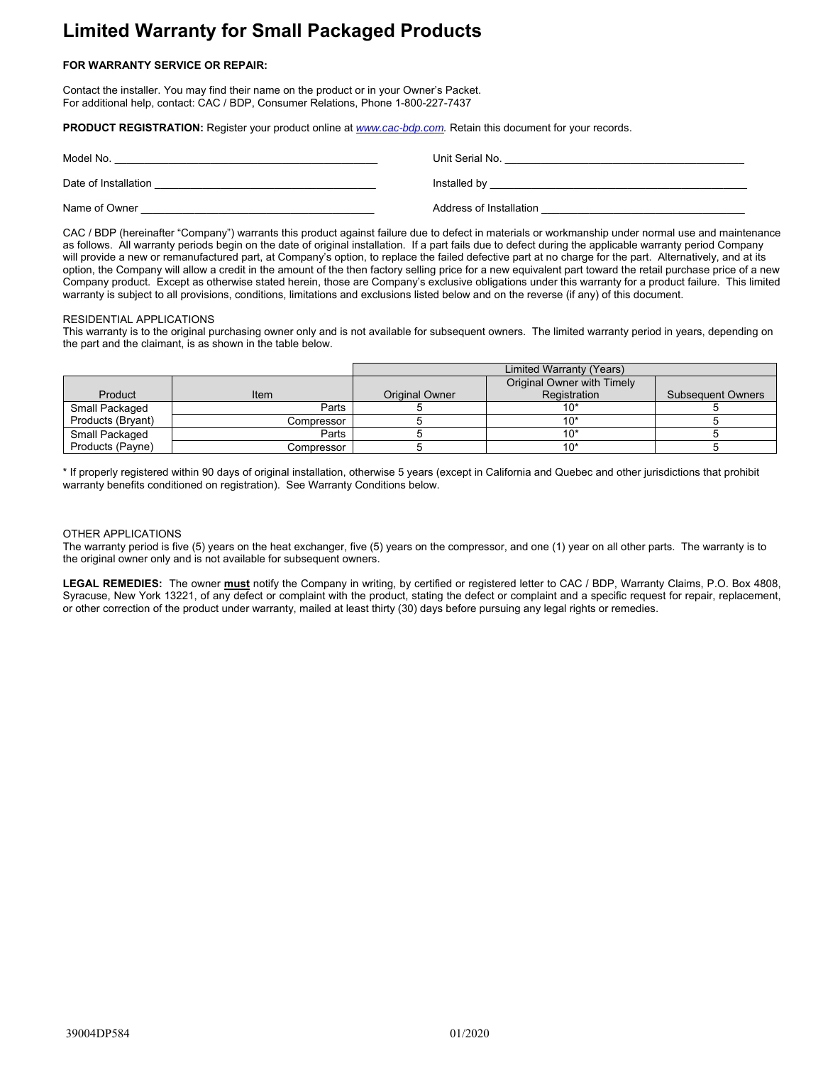# **Limited Warranty for Small Packaged Products**

## **FOR WARRANTY SERVICE OR REPAIR:**

Contact the installer. You may find their name on the product or in your Owner's Packet. For additional help, contact: CAC / BDP, Consumer Relations, Phone 1-800-227-7437

**PRODUCT REGISTRATION:** Register your product online at *www.cac-bdp.com.* Retain this document for your records.

| Model No.            | Unit Serial No.         |
|----------------------|-------------------------|
| Date of Installation | Installed by            |
| Name of Owner        | Address of Installation |

CAC / BDP (hereinafter "Company") warrants this product against failure due to defect in materials or workmanship under normal use and maintenance as follows. All warranty periods begin on the date of original installation. If a part fails due to defect during the applicable warranty period Company will provide a new or remanufactured part, at Company's option, to replace the failed defective part at no charge for the part. Alternatively, and at its option, the Company will allow a credit in the amount of the then factory selling price for a new equivalent part toward the retail purchase price of a new Company product. Except as otherwise stated herein, those are Company's exclusive obligations under this warranty for a product failure. This limited warranty is subject to all provisions, conditions, limitations and exclusions listed below and on the reverse (if any) of this document.

#### RESIDENTIAL APPLICATIONS

This warranty is to the original purchasing owner only and is not available for subsequent owners. The limited warranty period in years, depending on the part and the claimant, is as shown in the table below.

|                   |            | Limited Warranty (Years) |                            |                          |
|-------------------|------------|--------------------------|----------------------------|--------------------------|
|                   |            |                          | Original Owner with Timely |                          |
| Product           | Item       | <b>Original Owner</b>    | Registration               | <b>Subsequent Owners</b> |
| Small Packaged    | Parts      |                          | 1በ*                        |                          |
| Products (Bryant) | Compressor |                          |                            |                          |
| Small Packaged    | Parts      |                          | 10*                        |                          |
| Products (Payne)  | Compressor |                          | 10'                        |                          |

\* If properly registered within 90 days of original installation, otherwise 5 years (except in California and Quebec and other jurisdictions that prohibit warranty benefits conditioned on registration). See Warranty Conditions below.

#### OTHER APPLICATIONS

The warranty period is five (5) years on the heat exchanger, five (5) years on the compressor, and one (1) year on all other parts. The warranty is to the original owner only and is not available for subsequent owners.

**LEGAL REMEDIES:** The owner **must** notify the Company in writing, by certified or registered letter to CAC / BDP, Warranty Claims, P.O. Box 4808, Syracuse, New York 13221, of any defect or complaint with the product, stating the defect or complaint and a specific request for repair, replacement, or other correction of the product under warranty, mailed at least thirty (30) days before pursuing any legal rights or remedies.